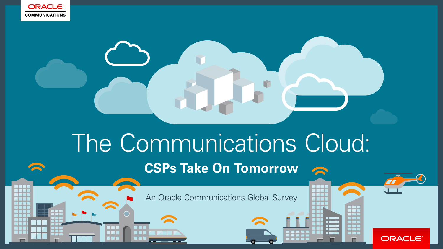

**SERVICE** 

# The Communications Cloud: **CSPs Take On Tomorrow**

An Oracle Communications Global Survey

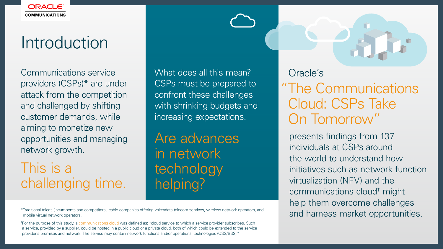# Introduction

Communications service providers (CSPs)\* are under attack from the competition and challenged by shifting customer demands, while aiming to monetize new opportunities and managing network growth.

\*Traditional telcos (incumbents and competitors), cable companies offering voice/data telecom services, wireless network operators, and mobile virtual network operators.

<sup>†</sup>For the purpose of this study, a communications cloud was defined as: "cloud service to which a service provider subscribes. Such a service, provided by a supplier, could be hosted in a public cloud or a private cloud, both of which could be extended to the service provider's premises and network. The service may contain network functions and/or operational technologies (OSS/BSS)."

Oracle's

presents findings from 137 individuals at CSPs around the world to understand how initiatives such as network function virtualization (NFV) and the communications cloud† might help them overcome challenges and harness market opportunities.

This is a challenging time.

Are advances in network technology helping?

What does all this mean? CSPs must be prepared to confront these challenges with shrinking budgets and increasing expectations.

# "The Communications Cloud: CSPs Take On Tomorrow"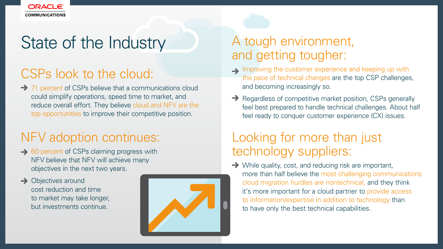

# State of the Industry

### CSPs look to the cloud:

**→ 71 percent of CSPs believe that a communications cloud** could simplify operations, speed time to market, and reduce overall effort. They believe cloud and NFV are the top opportunities to improve their competitive position.

Improving the customer experience and keeping up with the pace of technical changes are the top CSP challenges,

### A tough environment, and getting tougher:

 $\rightarrow$  Regardless of competitive market position, CSPs generally feel best prepared to handle technical challenges. About half feel ready to conquer customer experience (CX) issues.

- and becoming increasingly so.
- 

**→** While quality, cost, and reducing risk are important, more than half believe the most challenging communications cloud migration hurdles are nontechnical, and they think it's more important for a cloud partner to provide access to information/expertise in addition to technology than

- **→ 60 percent of CSPs claiming progress with** NFV believe that NFV will achieve many objectives in the next two years.
- $\rightarrow$  Objectives around cost reduction and time to market may take longer, but investments continue.



### Looking for more than just technology suppliers:

to have only the best technical capabilities.

### NFV adoption continues: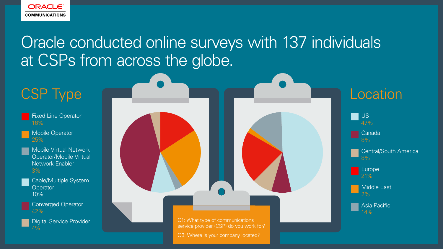

## Oracle conducted online surveys with 137 individuals at CSPs from across the globe.

### CSP Type Contact CSP Type CSP Type

Digital Service Provider  $4%$ 

- Fixed Line Operator 16%
- Mobile Operator 25%
- Mobile Virtual Network Operator/Mobile Virtual Network Enabler 3%
- - Cable/Multiple System **Operator** 10%
	- Converged Operator 42%





Q1: What type of communications service provider (CSP) do you work for?

Q3: Where is your company located?

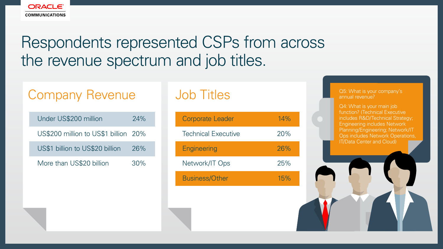### Q5: What is your company's annual revenue?

Q4: What is your main job function? (Technical Executive includes R&D/Technical Strategy; Engineering includes Network Planning/Engineering; Network/IT Ops includes Network Operations, IT/Data Center and Cloud)



## Respondents represented CSPs from across the revenue spectrum and job titles.

### Company Revenue 100 Job Titles

| Under US\$200 million                | $74\%$ |
|--------------------------------------|--------|
| US\$200 million to US\$1 billion 20% |        |
| US\$1 billion to US\$20 billion      | 26%    |
| More than US\$20 billion             | $30\%$ |

| <b>Corporate Leader</b>    | 14% |
|----------------------------|-----|
| <b>Technical Executive</b> | 20% |
| <b>Engineering</b>         | 26% |
| Network/IT Ops             | 25% |
| <b>Business/Other</b>      | 15% |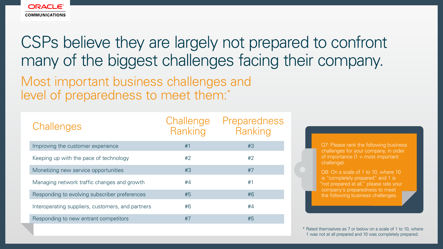

## CSPs believe they are largely not prepared to confront many of the biggest challenges facing their company.

Most important business challenges and level of preparedness to meet them:\*

> \* Rated themselves as 7 or below on a scale of 1 to 10, where 1 was not at all prepared and 10 was completely prepared.

| Challenges                                        | Challenge<br>Ranking | Preparedness<br>Ranking |
|---------------------------------------------------|----------------------|-------------------------|
| Improving the customer experience                 | #1                   | #3                      |
| Keeping up with the pace of technology            | #2                   | #2                      |
| Monetizing new service opportunities              | #3                   | #7                      |
| Managing network traffic changes and growth       | #4                   | #1                      |
| Responding to evolving subscriber preferences     | #5                   | #6                      |
| Interoperating suppliers, customers, and partners | #6                   | #4                      |
| Responding to new entrant competitors             | #7                   | #5                      |

Q7: Please rank the following business challenges for your company, in order of importance  $(1 = \text{most important})$ challenge).

Q8: On a scale of 1 to 10, where 10 is "completely prepared" and 1 is "not prepared at all," please rate your company's preparedness to meet the following business challenges.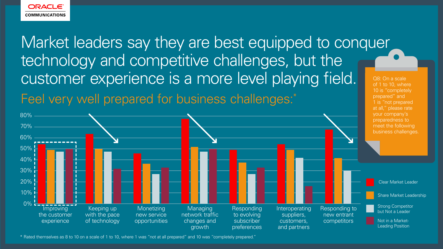\* Rated themselves as 8 to 10 on a scale of 1 to 10, where 1 was "not at all prepared" and 10 was "completely prepared."



## Market leaders say they are best equipped to conquer technology and competitive challenges, but the customer experience is a more level playing field. Feel very well prepared for business challenges:\*

Q8: On a scale of 1 to 10, where 10 is "completely prepared" and 1 is "not prepared at all," please rate your company's preparedness to meet the following business challenges.

Responding to new entrant competitors





Clear Market Leader

Share Market Leadership

Strong Competitor but Not a Leader

Not in a Market-Leading Position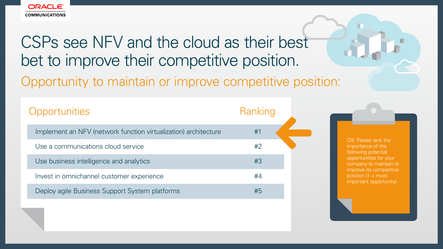

# CSPs see NFV and the cloud as their best bet to improve their competitive position. Opportunity to maintain or improve competitive position:

| Opportunities                                                   | Ranking |
|-----------------------------------------------------------------|---------|
| Implement an NFV (network function virtualization) architecture | #1      |
| Use a communications cloud service                              | #2      |
| Use business intelligence and analytics                         | #3      |
| Invest in omnichannel customer experience                       | #4      |
| Deploy agile Business Support System platforms                  | #5      |

Q9: Please rank the importance of the following potential opportunities for your company to maintain or improve its competitive position  $(1 = \text{most})$ important opportunity).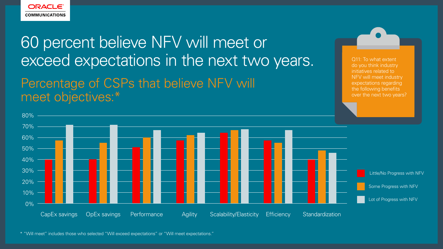

## 60 percent believe NFV will meet or exceed expectations in the next two years. Percentage of CSPs that believe NFV will meet objectives:\*



Q11: To what extent do you think industry initiatives related to NFV will meet industry expectations regarding the following benefits over the next two years?

\* "Will meet" includes those who selected "Will exceed expectations" or "Will meet expectations."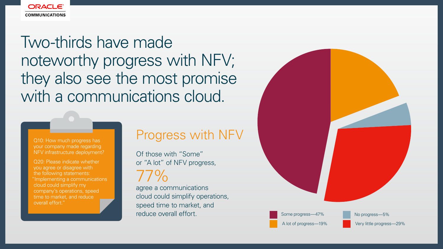

## Two-thirds have made noteworthy progress with NFV; they also see the most promise with a communications cloud.

your company made regarding NFV infrastructure deployment?

> A lot of progress—19% Some progress—47%

Q20: Please indicate whether you agree or disagree with the following statements: "Implementing a communications cloud could simplify my company's operations, speed time to market, and reduce overall effort."

### Q10: How much progress has **Progress With NFV**



Of those with "Some" or "A lot" of NFV progress,

77%

agree a communications cloud could simplify operations, speed time to market, and reduce overall effort.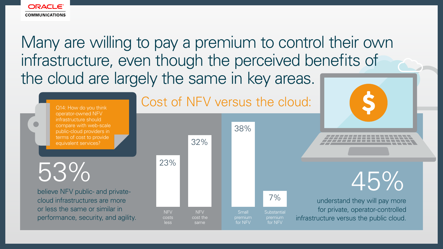

Many are willing to pay a premium to control their own infrastructure, even though the perceived benefits of the cloud are largely the same in key areas.

### Cost of NFV versus the cloud:

believe NFV public- and private-

cloud infrastructures are more or less the same or similar in performance, security, and agility.

understand they will pay more for private, operator-controlled infrastructure versus the public cloud.



Q14: How do you think operator-owned NFV infrastructure should compare with web-scale public-cloud providers in terms of cost to provide equivalent services?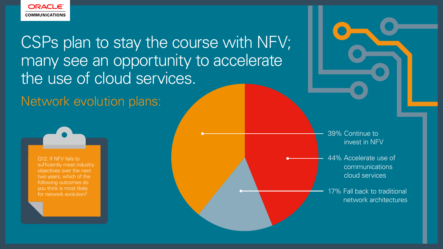

CSPs plan to stay the course with NFV; many see an opportunity to accelerate the use of cloud services.

Network evolution plans:

Q12: If NFV fails to sufficiently meet industry objectives over the next two years, which of the following outcomes do you think is most likely for network evolution?

44% Accelerate use of communications cloud services

39% Continue to invest in NFV

17% Fall back to traditional network architectures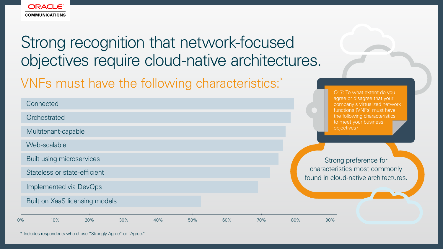

# VNFs must have the following characteristics:\* Strong recognition that network-focused objectives require cloud-native architectures.

Q17: To what extent do you agree or disagree that your company's virtualized network functions (VNFs) must have the following characteristics to meet your business objectives?

| Connected                             |     |     |     |     |     |                         |
|---------------------------------------|-----|-----|-----|-----|-----|-------------------------|
| Orchestrated                          |     |     |     |     |     |                         |
| Multitenant-capable                   |     |     |     |     |     |                         |
| Web-scalable                          |     |     |     |     |     |                         |
| <b>Built using microservices</b>      |     |     |     |     |     | Stro                    |
| Stateless or state-efficient          |     |     |     |     |     | characte<br>found in cl |
| Implemented via DevOps                |     |     |     |     |     |                         |
| <b>Built on XaaS licensing models</b> |     |     |     |     |     |                         |
| $0\%$<br>10%<br>20%<br>30%            | 40% | 50% | 60% | 70% | 80% | 90%                     |

Strong preference for characteristics most commonly und in cloud-native architectures.

|  | 90% |
|--|-----|
|  |     |

\* Includes respondents who chose "Strongly Agree" or "Agree."

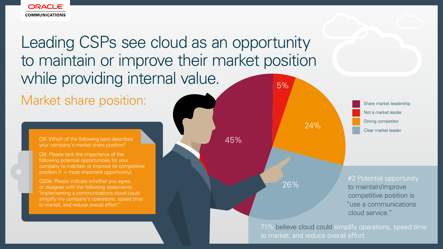Share market leadership Strong competitor Not a market leader Clear market leader

Q9: Please rank the importance of the following potential opportunities for your company to maintain or improve its competitive position  $(1 = \text{most important opportunity}).$ 

Q6: Which of the following best describes your company's market share position?



Market share position: Leading CSPs see cloud as an opportunity to maintain or improve their market position while providing internal value. 5%

Q20a: Please indicate whether you agree or disagree with the following statements: "Implementing a communications cloud could simplify my company's operations, speed time to market, and reduce overall effort."

45%

24%

26%

### #2 Potential opportunity

to maintain/improve competitive position is "use a communications cloud service."

71% believe cloud could simplify operations, speed time to market, and reduce overall effort.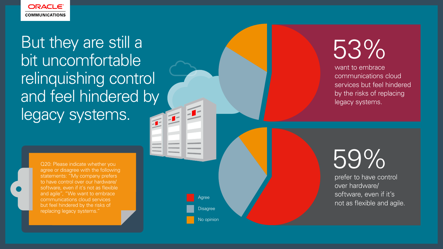

But they are still a bit uncomfortable relinquishing control and feel hindered by legacy systems.

> No opinion Agree **Disagree**

want to embrace communications cloud services but feel hindered by the risks of replacing legacy systems.

prefer to have control over hardware/ software, even if it's not as flexible and agile.

Q20: Please indicate whether you agree or disagree with the following statements: "My company prefers to have control over our hardware/ software, even if it's not as flexible and agile", "We want to embrace communications cloud services but feel hindered by the risks of replacing legacy systems."

# 53%

# 59%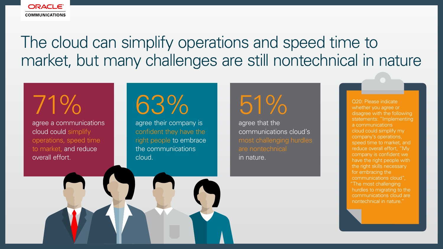

## The cloud can simplify operations and speed time to market, but many challenges are still nontechnical in nature

Q20: Please indicate whether you agree or disagree with the following statements: "Implementing a communications cloud could simplify my company's operations, speed time to market, and reduce overall effort, "My company is confident we have the right people with the right skills necessary for embracing the communications cloud", "The most challenging hurdles to migrating to the communications cloud are nontechnical in nature."

agree a communications cloud could simplify operations, speed time to market, and reduce overall effort.

agree their company is confident they have the right people to embrace the communications cloud.

agree that the communications cloud's most challenging hurdles are nontechnical in nature.

71% 63% 51%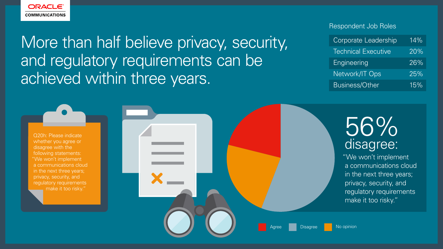

## More than half believe privacy, security, and regulatory requirements can be achieved within three years.

# 56% disagree:

Q20h: Please indicate whether you agree or disagree with the following statements: "We won't implement a communications cloud in the next three years; privacy, security, and regulatory requirements make it too risky."



"We won't implement a communications cloud in the next three years; privacy, security, and regulatory requirements make it too risky."

Disagree No opinion

### Respondent Job Roles

| <b>Corporate Leadership</b> | $14\%$ |
|-----------------------------|--------|
| <b>Technical Executive</b>  | 20%    |
| Engineering                 | $26\%$ |
| Network/IT Ops              | 25%    |
| <b>Business/Other</b>       | 15%    |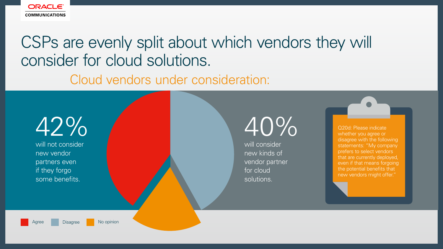Q20d: Please indicate whether you agree or disagree with the following statements: "My company prefers to select vendors that are currently deployed, even if that means forgoing the potential benefits that new vendors might offer."



# 40%

will not consider new vendor partners even if they forgo some benefits.



### CSPs are evenly split about which vendors they will consider for cloud solutions. Cloud vendors under consideration:

will consider new kinds of vendor partner for cloud solutions.



Disagree **No opinion**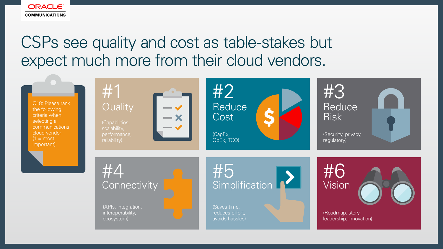

# CSPs see quality and cost as table-stakes but expect much more from their cloud vendors.

(Capabilities, scalability, performance, reliability)



(APIs, integration, interoperability, ecosystem)

(CapEx, OpEx, TCO)

Reduce Cost #2

Connectivity **Simplification And Added** Vision #5

**Reduce** Risk #3

(Saves time, reduces effort, avoids hassles) (Security, privacy, regulatory)



(Roadmap, story, leadership, innovation)

# #4





Q18: Please rank the following criteria when selecting a communications cloud vendor  $(1 = \text{most})$ important).

# #1<br>Quality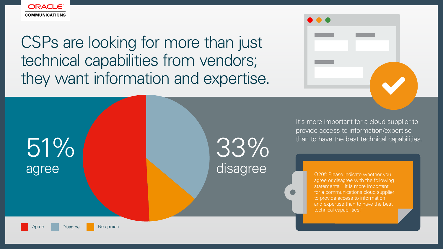

CSPs are looking for more than just technical capabilities from vendors; they want information and expertise.





agree or disagree with the following statements: "It is more important for a communications cloud supplier to provide access to information and expertise than to have the best technical capabilities."

It's more important for a cloud supplier to provide access to information/expertise than to have the best technical capabilities.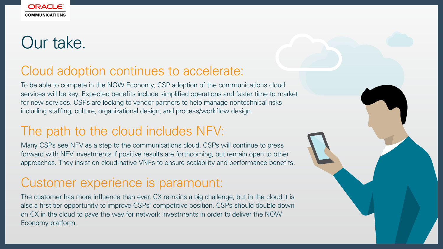

# Our take.

### Cloud adoption continues to accelerate:

To be able to compete in the NOW Economy, CSP adoption of the communications cloud services will be key. Expected benefits include simplified operations and faster time to market for new services. CSPs are looking to vendor partners to help manage nontechnical risks including staffing, culture, organizational design, and process/workflow design.

### The path to the cloud includes NFV:

Many CSPs see NFV as a step to the communications cloud. CSPs will continue to press forward with NFV investments if positive results are forthcoming, but remain open to other approaches. They insist on cloud-native VNFs to ensure scalability and performance benefits.

### Customer experience is paramount:

The customer has more influence than ever. CX remains a big challenge, but in the cloud it is also a first-tier opportunity to improve CSPs' competitive position. CSPs should double down on CX in the cloud to pave the way for network investments in order to deliver the NOW Economy platform.